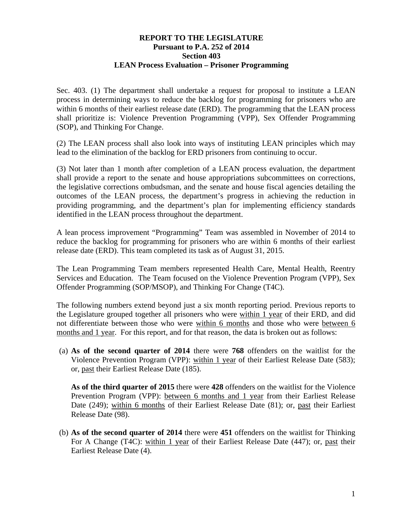## **REPORT TO THE LEGISLATURE Pursuant to P.A. 252 of 2014 Section 403 LEAN Process Evaluation – Prisoner Programming**

Sec. 403. (1) The department shall undertake a request for proposal to institute a LEAN process in determining ways to reduce the backlog for programming for prisoners who are within 6 months of their earliest release date (ERD). The programming that the LEAN process shall prioritize is: Violence Prevention Programming (VPP), Sex Offender Programming (SOP), and Thinking For Change.

(2) The LEAN process shall also look into ways of instituting LEAN principles which may lead to the elimination of the backlog for ERD prisoners from continuing to occur.

(3) Not later than 1 month after completion of a LEAN process evaluation, the department shall provide a report to the senate and house appropriations subcommittees on corrections, the legislative corrections ombudsman, and the senate and house fiscal agencies detailing the outcomes of the LEAN process, the department's progress in achieving the reduction in providing programming, and the department's plan for implementing efficiency standards identified in the LEAN process throughout the department.

A lean process improvement "Programming" Team was assembled in November of 2014 to reduce the backlog for programming for prisoners who are within 6 months of their earliest release date (ERD). This team completed its task as of August 31, 2015.

The Lean Programming Team members represented Health Care, Mental Health, Reentry Services and Education. The Team focused on the Violence Prevention Program (VPP), Sex Offender Programming (SOP/MSOP), and Thinking For Change (T4C).

The following numbers extend beyond just a six month reporting period. Previous reports to the Legislature grouped together all prisoners who were within 1 year of their ERD, and did not differentiate between those who were within 6 months and those who were between 6 months and 1 year. For this report, and for that reason, the data is broken out as follows:

(a) **As of the second quarter of 2014** there were **768** offenders on the waitlist for the Violence Prevention Program (VPP): within 1 year of their Earliest Release Date (583); or, past their Earliest Release Date (185).

**As of the third quarter of 2015** there were **428** offenders on the waitlist for the Violence Prevention Program (VPP): between 6 months and 1 year from their Earliest Release Date (249); within 6 months of their Earliest Release Date (81); or, past their Earliest Release Date (98).

(b) **As of the second quarter of 2014** there were **451** offenders on the waitlist for Thinking For A Change (T4C): within 1 year of their Earliest Release Date (447); or, past their Earliest Release Date (4).